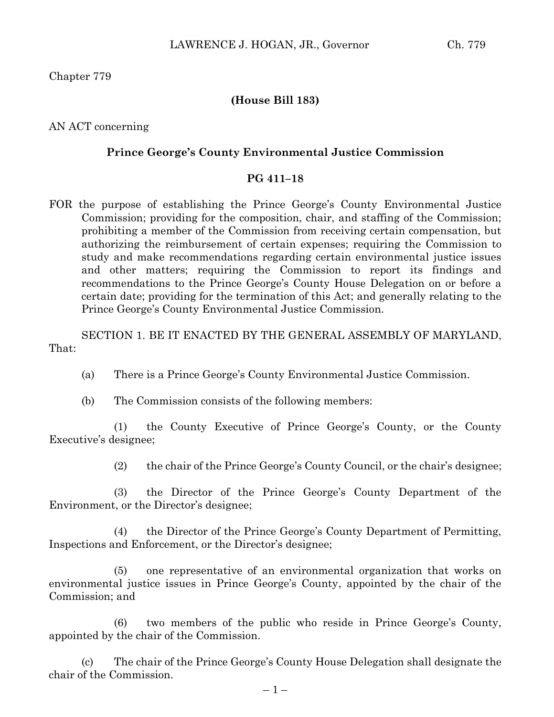Chapter 779

## **(House Bill 183)**

AN ACT concerning

## **Prince George's County Environmental Justice Commission**

## **PG 411–18**

FOR the purpose of establishing the Prince George's County Environmental Justice Commission; providing for the composition, chair, and staffing of the Commission; prohibiting a member of the Commission from receiving certain compensation, but authorizing the reimbursement of certain expenses; requiring the Commission to study and make recommendations regarding certain environmental justice issues and other matters; requiring the Commission to report its findings and recommendations to the Prince George's County House Delegation on or before a certain date; providing for the termination of this Act; and generally relating to the Prince George's County Environmental Justice Commission.

SECTION 1. BE IT ENACTED BY THE GENERAL ASSEMBLY OF MARYLAND, That:

- (a) There is a Prince George's County Environmental Justice Commission.
- (b) The Commission consists of the following members:

(1) the County Executive of Prince George's County, or the County Executive's designee;

(2) the chair of the Prince George's County Council, or the chair's designee;

(3) the Director of the Prince George's County Department of the Environment, or the Director's designee;

(4) the Director of the Prince George's County Department of Permitting, Inspections and Enforcement, or the Director's designee;

(5) one representative of an environmental organization that works on environmental justice issues in Prince George's County, appointed by the chair of the Commission; and

(6) two members of the public who reside in Prince George's County, appointed by the chair of the Commission.

(c) The chair of the Prince George's County House Delegation shall designate the chair of the Commission.